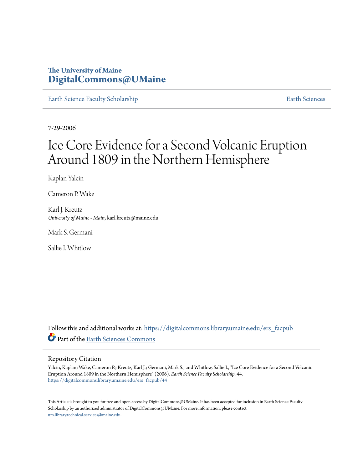# **The University of Maine [DigitalCommons@UMaine](https://digitalcommons.library.umaine.edu?utm_source=digitalcommons.library.umaine.edu%2Fers_facpub%2F44&utm_medium=PDF&utm_campaign=PDFCoverPages)**

[Earth Science Faculty Scholarship](https://digitalcommons.library.umaine.edu/ers_facpub?utm_source=digitalcommons.library.umaine.edu%2Fers_facpub%2F44&utm_medium=PDF&utm_campaign=PDFCoverPages) **[Earth Sciences](https://digitalcommons.library.umaine.edu/ers?utm_source=digitalcommons.library.umaine.edu%2Fers_facpub%2F44&utm_medium=PDF&utm_campaign=PDFCoverPages)** 

7-29-2006

# Ice Core Evidence for a Second Volcanic Eruption Around 1809 in the Northern Hemisphere

Kaplan Yalcin

Cameron P. Wake

Karl J. Kreutz *University of Maine - Main*, karl.kreutz@maine.edu

Mark S. Germani

Sallie I. Whitlow

Follow this and additional works at: [https://digitalcommons.library.umaine.edu/ers\\_facpub](https://digitalcommons.library.umaine.edu/ers_facpub?utm_source=digitalcommons.library.umaine.edu%2Fers_facpub%2F44&utm_medium=PDF&utm_campaign=PDFCoverPages) Part of the [Earth Sciences Commons](http://network.bepress.com/hgg/discipline/153?utm_source=digitalcommons.library.umaine.edu%2Fers_facpub%2F44&utm_medium=PDF&utm_campaign=PDFCoverPages)

## Repository Citation

Yalcin, Kaplan; Wake, Cameron P.; Kreutz, Karl J.; Germani, Mark S.; and Whitlow, Sallie I., "Ice Core Evidence for a Second Volcanic Eruption Around 1809 in the Northern Hemisphere" (2006). *Earth Science Faculty Scholarship*. 44. [https://digitalcommons.library.umaine.edu/ers\\_facpub/44](https://digitalcommons.library.umaine.edu/ers_facpub/44?utm_source=digitalcommons.library.umaine.edu%2Fers_facpub%2F44&utm_medium=PDF&utm_campaign=PDFCoverPages)

This Article is brought to you for free and open access by DigitalCommons@UMaine. It has been accepted for inclusion in Earth Science Faculty Scholarship by an authorized administrator of DigitalCommons@UMaine. For more information, please contact [um.library.technical.services@maine.edu](mailto:um.library.technical.services@maine.edu).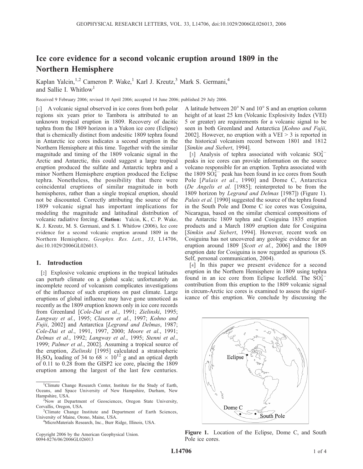## Ice core evidence for a second volcanic eruption around 1809 in the Northern Hemisphere

Kaplan Yalcin,<sup>1,2</sup> Cameron P. Wake,<sup>1</sup> Karl J. Kreutz,<sup>3</sup> Mark S. Germani,<sup>4</sup> and Sallie I. Whitlow<sup>1</sup>

Received 9 February 2006; revised 10 April 2006; accepted 14 June 2006; published 29 July 2006.

[1] A volcanic signal observed in ice cores from both polar regions six years prior to Tambora is attributed to an unknown tropical eruption in 1809. Recovery of dacitic tephra from the 1809 horizon in a Yukon ice core (Eclipse) that is chemically distinct from andesitic 1809 tephra found in Antarctic ice cores indicates a second eruption in the Northern Hemisphere at this time. Together with the similar magnitude and timing of the 1809 volcanic signal in the Arctic and Antarctic, this could suggest a large tropical eruption produced the sulfate and Antarctic tephra and a minor Northern Hemisphere eruption produced the Eclipse tephra. Nonetheless, the possibility that there were coincidental eruptions of similar magnitude in both hemispheres, rather than a single tropical eruption, should not be discounted. Correctly attributing the source of the 1809 volcanic signal has important implications for modeling the magnitude and latitudinal distribution of volcanic radiative forcing. Citation: Yalcin, K., C. P. Wake, K. J. Kreutz, M. S. Germani, and S. I. Whitlow (2006), Ice core evidence for a second volcanic eruption around 1809 in the Northern Hemisphere, Geophys. Res. Lett., 33, L14706, doi:10.1029/2006GL026013.

#### 1. Introduction

[2] Explosive volcanic eruptions in the tropical latitudes can perturb climate on a global scale; unfortunately an incomplete record of volcanism complicates investigations of the influence of such eruptions on past climate. Large eruptions of global influence may have gone unnoticed as recently as the 1809 eruption known only in ice core records from Greenland [Cole-Dai et al., 1991; Zielinski, 1995; Langway et al., 1995; Clausen et al., 1997; Kohno and Fujii, 2002] and Antarctica [Legrand and Delmas, 1987; Cole-Dai et al., 1991, 1997, 2000; Moore et al., 1991; Delmas et al., 1992; Langway et al., 1995; Stenni et al., 1999; Palmer et al., 2002]. Assuming a tropical source of the eruption, Zielinski [1995] calculated a stratospheric  $H_2SO_4$  loading of 34 to 68  $\times$  10<sup>12</sup> g and an optical depth of 0.11 to 0.28 from the GISP2 ice core, placing the 1809 eruption among the largest of the last few centuries.

A latitude between  $20^{\circ}$  N and  $10^{\circ}$  S and an eruption column height of at least 25 km (Volcanic Explosivity Index (VEI) 5 or greater) are requirements for a volcanic signal to be seen in both Greenland and Antarctica [Kohno and Fujii, 2002]. However, no eruption with a  $VEI > 3$  is reported in the historical volcanism record between 1801 and 1812 [Simkin and Siebert, 1994].

[3] Analysis of tephra associated with volcanic  $SO_4^{2-}$ peaks in ice cores can provide information on the source volcano responsible for an eruption. Tephra associated with the 1809  $S\dot{O}_4^{2-}$  peak has been found in ice cores from South Pole [Palais et al., 1990] and Dome C, Antarctica (De Angelis et al. [1985]; reinterpreted to be from the 1809 horizon by *Legrand and Delmas* [1987]) (Figure 1). Palais et al. [1990] suggested the source of the tephra found in the South Pole and Dome C ice cores was Cosiguina, Nicaragua, based on the similar chemical compositions of the Antarctic 1809 tephra and Cosiguina 1835 eruption products and a March 1809 eruption date for Cosiguina [Simkin and Siebert, 1994]. However, recent work on Cosiguina has not uncovered any geologic evidence for an eruption around 1809 [Scott et al., 2006] and the 1809 eruption date for Cosiguina is now regarded as spurious (S. Self, personal communication, 2004).

[4] In this paper we present evidence for a second eruption in the Northern Hemisphere in 1809 using tephra found in an ice core from Eclipse Icefield. The  $SO_4^{2-}$ contribution from this eruption to the 1809 volcanic signal in circum-Arctic ice cores is examined to assess the significance of this eruption. We conclude by discussing the



Figure 1. Location of the Eclipse, Dome C, and South Pole ice cores.

<sup>&</sup>lt;sup>1</sup>Climate Change Research Center, Institute for the Study of Earth, Oceans, and Space University of New Hampshire, Durham, New Hampshire, USA. <sup>2</sup>

<sup>&</sup>lt;sup>2</sup>Now at Department of Geosciences, Oregon State University, Corvallis, Oregon, USA.

<sup>&</sup>lt;sup>3</sup>Climate Change Institute and Department of Earth Sciences, University of Maine, Orono, Maine, USA. <sup>4</sup>

<sup>&</sup>lt;sup>4</sup>MicroMaterials Research, Inc., Burr Ridge, Illinois, USA.

Copyright 2006 by the American Geophysical Union. 0094-8276/06/2006GL026013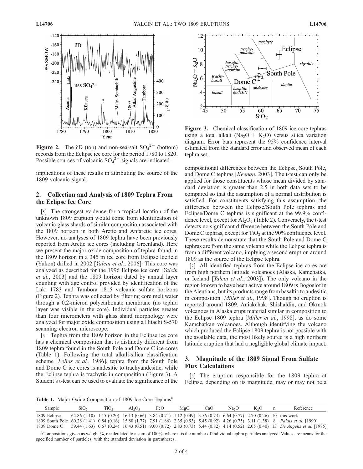

**Figure 2.** The  $\delta D$  (top) and non-sea-salt  $SO_4^2$  (bottom) records from the Eclipse ice core for the period 1780 to 1820. Possible sources of volcanic  $SO_4^2$  signals are indicated.

implications of these results in attributing the source of the 1809 volcanic signal.

### 2. Collection and Analysis of 1809 Tephra From the Eclipse Ice Core

[5] The strongest evidence for a tropical location of the unknown 1809 eruption would come from identification of volcanic glass shards of similar composition associated with the 1809 horizon in both Arctic and Antarctic ice cores. However, no analyses of 1809 tephra have been previously reported from Arctic ice cores (including Greenland). Here we present the major oxide composition of tephra found in the 1809 horizon in a 345 m ice core from Eclipse Icefield (Yukon) drilled in 2002 [Yalcin et al., 2006]. This core was analyzed as described for the 1996 Eclipse ice core [Yalcin et al., 2003] and the 1809 horizon dated by annual layer counting with age control provided by identification of the Laki 1783 and Tambora 1815 volcanic sulfate horizons (Figure 2). Tephra was collected by filtering core melt water through a 0.2-micron polycarbonate membrane (no tephra layer was visible in the core). Individual particles greater than four micrometers with glass shard morphology were analyzed for major oxide composition using a Hitachi S-570 scanning electron microscope.

[6] Tephra from the 1809 horizon in the Eclipse ice core has a chemical composition that is distinctly different from 1809 tephra found in the South Pole and Dome C ice cores (Table 1). Following the total alkali-silica classification scheme [LeBas et al., 1986], tephra from the South Pole and Dome C ice cores is andesitic to trachyandesitic, while the Eclipse tephra is trachytic in composition (Figure 3). A Student's t-test can be used to evaluate the significance of the



Figure 3. Chemical classification of 1809 ice core tephras using a total alkali (Na<sub>2</sub>O + K<sub>2</sub>O) versus silica variation diagram. Error bars represent the 95% confidence interval estimated from the standard error and observed mean of each tephra set.

compositional differences between the Eclipse, South Pole, and Dome C tephras [Keenan, 2003]. The t-test can only be applied for those constituents whose mean divided by standard deviation is greater than 2.5 in both data sets to be compared so that the assumption of a normal distribution is satisfied. For constituents satisfying this assumption, the difference between the Eclipse/South Pole tephras and Eclipse/Dome C tephras is significant at the 99.9% confidence level, except for  $\text{Al}_2\text{O}_3$  (Table 2). Conversely, the t-test detects no significant difference between the South Pole and Dome C tephras, except for  $TiO<sub>2</sub>$  at the 90% confidence level. These results demonstrate that the South Pole and Dome C tephras are from the same volcano while the Eclipse tephra is from a different volcano, implying a second eruption around 1809 as the source of the Eclipse tephra.

[7] All identified tephras from the Eclipse ice cores are from high northern latitude volcanoes (Alaska, Kamchatka, or Iceland [Yalcin et al., 2003]). The only volcano in the region known to have been active around 1809 is Bogoslof in the Aleutians, but its products range from basaltic to andesitic in composition [*Miller et al.*, 1998]. Though no eruption is reported around 1809, Aniakchak, Shishaldin, and Okmok volcanoes in Alaska erupt material similar in composition to the Eclipse 1809 tephra [*Miller et al.*, 1998], as do some Kamchatkan volcanoes. Although identifying the volcano which produced the Eclipse 1809 tephra is not possible with the available data, the most likely source is a high northern latitude eruption that had a negligible global climate impact.

### 3. Magnitude of the 1809 Signal From Sulfate Flux Calculations

[8] The eruption responsible for the 1809 tephra at Eclipse, depending on its magnitude, may or may not be a

Table 1. Major Oxide Composition of 1809 Ice Core Tephras<sup>a</sup>

| Sample       | SiO <sub>2</sub>                                                                                               | TiO2 | $Al_2O_3$ | FeO | MgO | CaO | Na <sub>2</sub> O | K <sub>2</sub> O | Reference                                                                                                                                |
|--------------|----------------------------------------------------------------------------------------------------------------|------|-----------|-----|-----|-----|-------------------|------------------|------------------------------------------------------------------------------------------------------------------------------------------|
| 1809 Eclipse | 64.86 (1.10) 1.15 (0.20) 16.13 (0.66) 3.84 (0.71) 1.12 (0.49) 3.56 (0.73) 6.64 (0.77) 2.70 (0.26) 10 this work |      |           |     |     |     |                   |                  |                                                                                                                                          |
|              |                                                                                                                |      |           |     |     |     |                   |                  | 1809 South Pole 60.28 (1.41) 0.84 (0.16) 15.80 (1.77) 7.91 (1.86) 2.35 (0.93) 5.45 (0.92) 4.26 (0.75) 3.11 (1.38) 8 Palais et al. [1990] |
| 1809 Dome C  |                                                                                                                |      |           |     |     |     |                   |                  | 59.44 (1.63) 0.67 (0.24) 16.43 (0.51) 9.00 (0.72) 2.83 (0.73) 5.44 (0.82) 4.14 (0.52) 2.05 (0.40) 13 De Angelis et al. [1985]            |

<sup>a</sup>Compositions given as weight %, recalculated to a sum of 100%, where n is the number of individual tephra particles analyzed. Values are means for the specified number of particles, with the standard deviation in parentheses.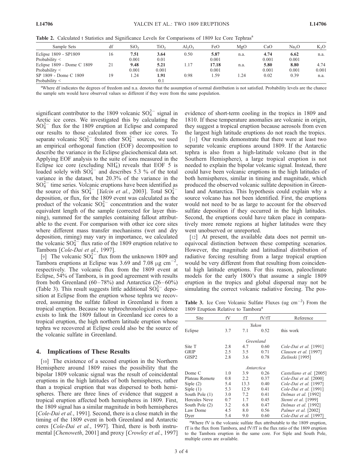Table 2. Calculated t Statistics and Significance Levels for Comparisons of 1809 Ice Core Tephras<sup>a</sup>

| Sample Sets                |    | SiO <sub>2</sub> | TiO <sub>2</sub> | $\mathrm{Al}_2\mathrm{O}_3$ | FeO   | MgO  | CaO   | Na <sub>2</sub> O | $K_2O$ |
|----------------------------|----|------------------|------------------|-----------------------------|-------|------|-------|-------------------|--------|
| Eclipse 1809 - SP1809      | 16 | 7.51             | 3.64             | 0.50                        | 5.87  | n.a. | 4.74  | 6.62              | n.a.   |
| Probability $\leq$         |    | 0.001            | 0.01             |                             | 0.001 |      | 0.001 | 0.001             |        |
| Eclipse 1809 - Dome C 1809 |    | 9.48             | 5.21             | 1.17                        | 17.18 | n.a. | 5.80  | 8.80              | 4.74   |
| Probability $\leq$         |    | 0.001            | 0.001            |                             | 0.001 |      | 0.001 | 0.001             | 0.001  |
| SP 1809 - Dome C 1809      | 19 | 1.24             | 1.91             | 0.98                        | l.59  | 24   | 0.02  | 0.39              | n.a.   |
| Probability $\leq$         |    |                  | 0.1              |                             |       |      |       |                   |        |

<sup>a</sup>Where df indicates the degrees of freedom and n.a. denotes that the assumption of normal distribution is not satisfied. Probability levels are the chance the sample sets would have observed values so different if they were from the same population.

significant contributor to the 1809 volcanic  $SO_4^{2-}$  signal in Arctic ice cores. We investigated this by calculating the  $SO_4^{2-}$  flux for the 1809 eruption at Eclipse and compared our results to those calculated from other ice cores. To separate volcanic  $SO_4^{2-}$  from other  $SO_4^{2-}$  sources, we used an empirical orthogonal function (EOF) decomposition to describe the variance in the Eclipse glaciochemical data set. Applying EOF analysis to the suite of ions measured in the Eclipse ice core (excluding  $NH<sub>4</sub>$ ) reveals that EOF 5 is loaded solely with  $SO_4^{2-}$  and describes 5.3 % of the total variance in the dataset, but 20.3% of the variance in the  $SO_4^{2-}$  time series. Volcanic eruptions have been identified as the source of this  $SO_4^{2-}$  [*Yalcin et al.*, 2003]. Total  $SO_4^{2-}$ deposition, or flux, for the 1809 event was calculated as the product of the volcanic  $SO_4^{2-}$  concentration and the water equivalent length of the sample (corrected for layer thinning), summed for the samples containing fallout attributable to the event. For comparison with other ice core sites where different mass transfer mechanisms (wet and dry deposition, riming) may vary in importance, we calculated the volcanic  $SO_4^{2}$  flux ratio of the 1809 eruption relative to Tambora [Cole-Dai et al., 1997].

[9] The volcanic  $SO_4^{2-}$  flux from the unknown 1809 and Tambora eruptions at Eclipse was 3.69 and 7.08  $\mu$ g cm<sup>-2</sup>, respectively. The volcanic flux from the 1809 event at Eclipse, 54% of Tambora, is in good agreement with results from both Greenland  $(60-78%)$  and Antarctica  $(26-60%)$ (Table 3). This result suggests little additional  $SO_4^{2-}$  deposition at Eclipse from the eruption whose tephra we recovered, assuming the sulfate fallout in Greenland is from a tropical eruption. Because no tephrochronological evidence exists to link the 1809 fallout in Greenland ice cores to a tropical eruption, the high northern latitude eruption whose tephra we recovered at Eclipse could also be the source of the volcanic sulfate in Greenland.

#### 4. Implications of These Results

[10] The existence of a second eruption in the Northern Hemisphere around 1809 raises the possibility that the bipolar 1809 volcanic signal was the result of coincidental eruptions in the high latitudes of both hemispheres, rather than a tropical eruption that was dispersed to both hemispheres. There are three lines of evidence that suggest a tropical eruption affected both hemispheres in 1809. First, the 1809 signal has a similar magnitude in both hemispheres [Cole-Dai et al., 1991]. Second, there is a close match in the timing of the 1809 event in both Greenland and Antarctic cores [Cole-Dai et al., 1997]. Third, there is both instrumental [Chenoweth, 2001] and proxy [Crowley et al., 1997] evidence of short-term cooling in the tropics in 1809 and 1810. If these temperature anomalies are volcanic in origin, they suggest a tropical eruption because aerosols from even the largest high latitude eruptions do not reach the tropics.

[11] Our results demonstrate that there were at least two separate volcanic eruptions around 1809. If the Antarctic tephra is also from a high-latitude volcano (but in the Southern Hemisphere), a large tropical eruption is not needed to explain the bipolar volcanic signal. Instead, there could have been volcanic eruptions in the high latitudes of both hemispheres, similar in timing and magnitude, which produced the observed volcanic sulfate deposition in Greenland and Antarctica. This hypothesis could explain why a source volcano has not been identified. First, the eruptions would not need to be as large to account for the observed sulfate deposition if they occurred in the high latitudes. Second, the eruptions could have taken place in comparatively more remote regions at higher latitudes were they went unobserved or unreported.

[12] At present, the available data does not permit unequivocal distinction between these competing scenarios. However, the magnitude and latitudinal distribution of radiative forcing resulting from a large tropical eruption would be very different from that resulting from coincidental high latitude eruptions. For this reason, paleoclimate models for the early 1800's that assume a single 1809 eruption in the tropics and global dispersal may not be simulating the correct volcanic radiative forcing. The pos-

Table 3. Ice Core Volcanic Sulfate Fluxes (ug  $\text{cm}^{-2}$ ) From the 1809 Eruption Relative to Tambora<sup>a</sup>

| Site              | fV  | fТ   | fV/fT | Reference                   |  |  |  |  |
|-------------------|-----|------|-------|-----------------------------|--|--|--|--|
| Yukon             |     |      |       |                             |  |  |  |  |
| Eclipse           | 3.7 | 7.1  | 0.52  | this work                   |  |  |  |  |
| Greenland         |     |      |       |                             |  |  |  |  |
| Site T            | 2.8 | 4.7  | 0.60  | Cole-Dai et al. [1991]      |  |  |  |  |
| <b>GRIP</b>       | 2.5 | 3.5  | 0.71  | Clausen et al. [1997]       |  |  |  |  |
| GISP <sub>2</sub> | 2.8 | 3.6  | 0.78  | Zielinski [1995]            |  |  |  |  |
|                   |     |      |       |                             |  |  |  |  |
| Antarctica        |     |      |       |                             |  |  |  |  |
| Dome C            | 1.0 | 3.9  | 0.26  | Castellano et al. [2005]    |  |  |  |  |
| Plateau Remote    | 0.8 | 2.2  | 0.37  | Cole-Dai et al. [2000]      |  |  |  |  |
| Siple $(2)$       | 5.4 | 13.3 | 0.40  | Cole-Dai et al. [1997]      |  |  |  |  |
| Siple $(1)$       | 5.3 | 12.9 | 0.41  | Cole-Dai et al. [1991]      |  |  |  |  |
| South Pole (1)    | 3.0 | 7.2  | 0.41  | Delmas et al. [1992]        |  |  |  |  |
| Hercules Neve     | 0.7 | 17   | 0.45  | <i>Stenni et al.</i> [1999] |  |  |  |  |
| South Pole (2)    | 3.2 | 6.8  | 0.47  | Delmas et al. [1992]        |  |  |  |  |
| Law Dome          | 4.5 | 8.0  | 0.56  | Palmer et al. [2002]        |  |  |  |  |
| Dyer              | 5.4 | 9.0  | 0.60  | Cole-Dai et al. [1997]      |  |  |  |  |

<sup>a</sup>Where fV is the volcanic sulfate flux attributable to the 1809 eruption, fT is the flux from Tambora, and fV/fT is the flux ratio of the 1809 eruption to the Tambora eruption in the same core. For Siple and South Pole, multiple cores are available.